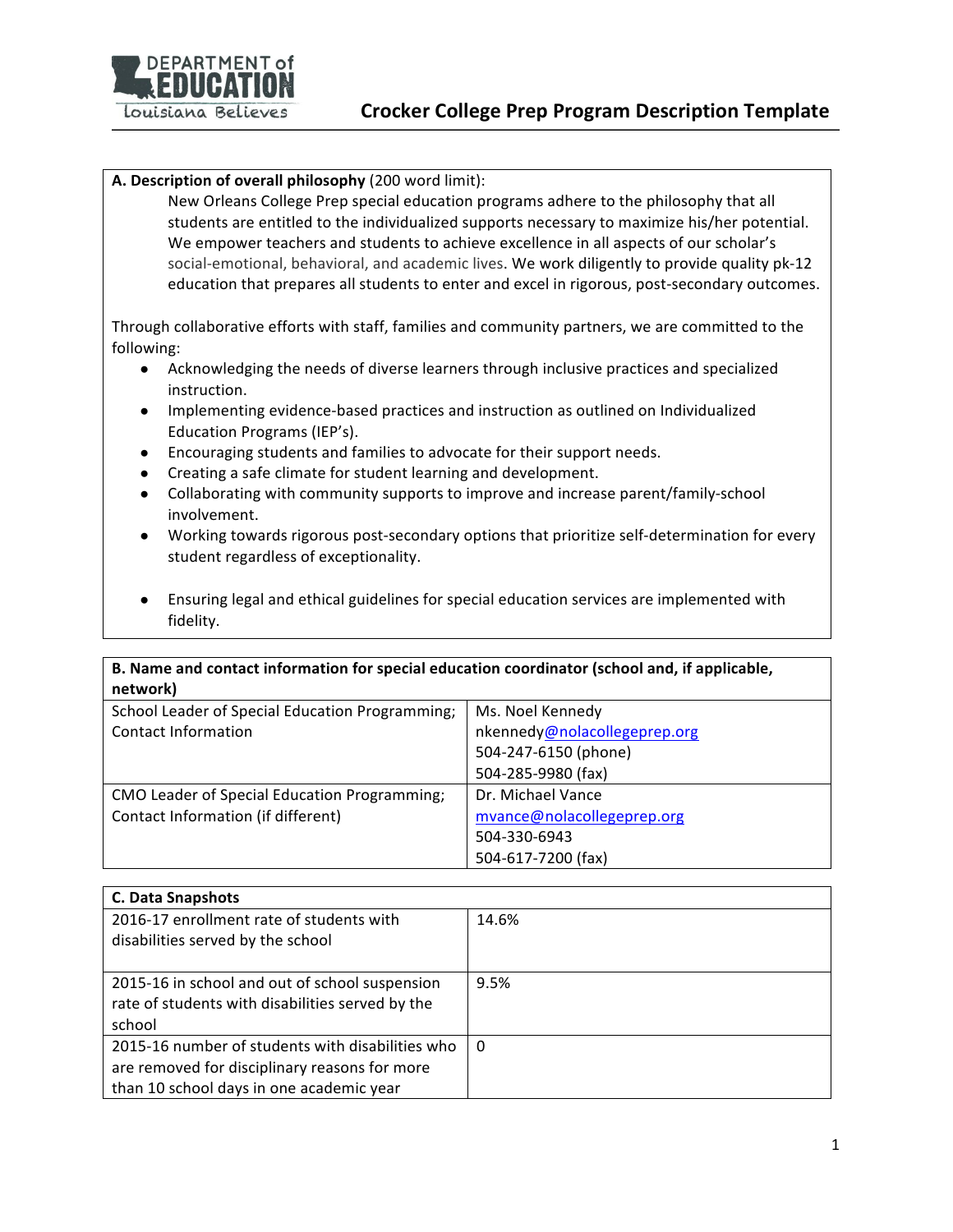

## **A.** Description of overall philosophy (200 word limit):

New Orleans College Prep special education programs adhere to the philosophy that all students are entitled to the individualized supports necessary to maximize his/her potential. We empower teachers and students to achieve excellence in all aspects of our scholar's social-emotional, behavioral, and academic lives. We work diligently to provide quality pk-12 education that prepares all students to enter and excel in rigorous, post-secondary outcomes.

Through collaborative efforts with staff, families and community partners, we are committed to the following: 

- Acknowledging the needs of diverse learners through inclusive practices and specialized instruction.
- Implementing evidence-based practices and instruction as outlined on Individualized Education Programs (IEP's).
- Encouraging students and families to advocate for their support needs.
- Creating a safe climate for student learning and development.
- Collaborating with community supports to improve and increase parent/family-school involvement.
- Working towards rigorous post-secondary options that prioritize self-determination for every student regardless of exceptionality.
- Ensuring legal and ethical guidelines for special education services are implemented with fidelity.

## **B.** Name and contact information for special education coordinator (school and, if applicable, **network)**

| ,,,,,,,,,,,                                     |                              |
|-------------------------------------------------|------------------------------|
| School Leader of Special Education Programming; | Ms. Noel Kennedy             |
| <b>Contact Information</b>                      | nkennedy@nolacollegeprep.org |
|                                                 | 504-247-6150 (phone)         |
|                                                 | 504-285-9980 (fax)           |
| CMO Leader of Special Education Programming;    | Dr. Michael Vance            |
| Contact Information (if different)              | mvance@nolacollegeprep.org   |
|                                                 | 504-330-6943                 |
|                                                 | 504-617-7200 (fax)           |

| <b>C. Data Snapshots</b>                                                                                                                      |       |
|-----------------------------------------------------------------------------------------------------------------------------------------------|-------|
| 2016-17 enrollment rate of students with<br>disabilities served by the school                                                                 | 14.6% |
| 2015-16 in school and out of school suspension<br>rate of students with disabilities served by the<br>school                                  | 9.5%  |
| 2015-16 number of students with disabilities who<br>are removed for disciplinary reasons for more<br>than 10 school days in one academic year | -0    |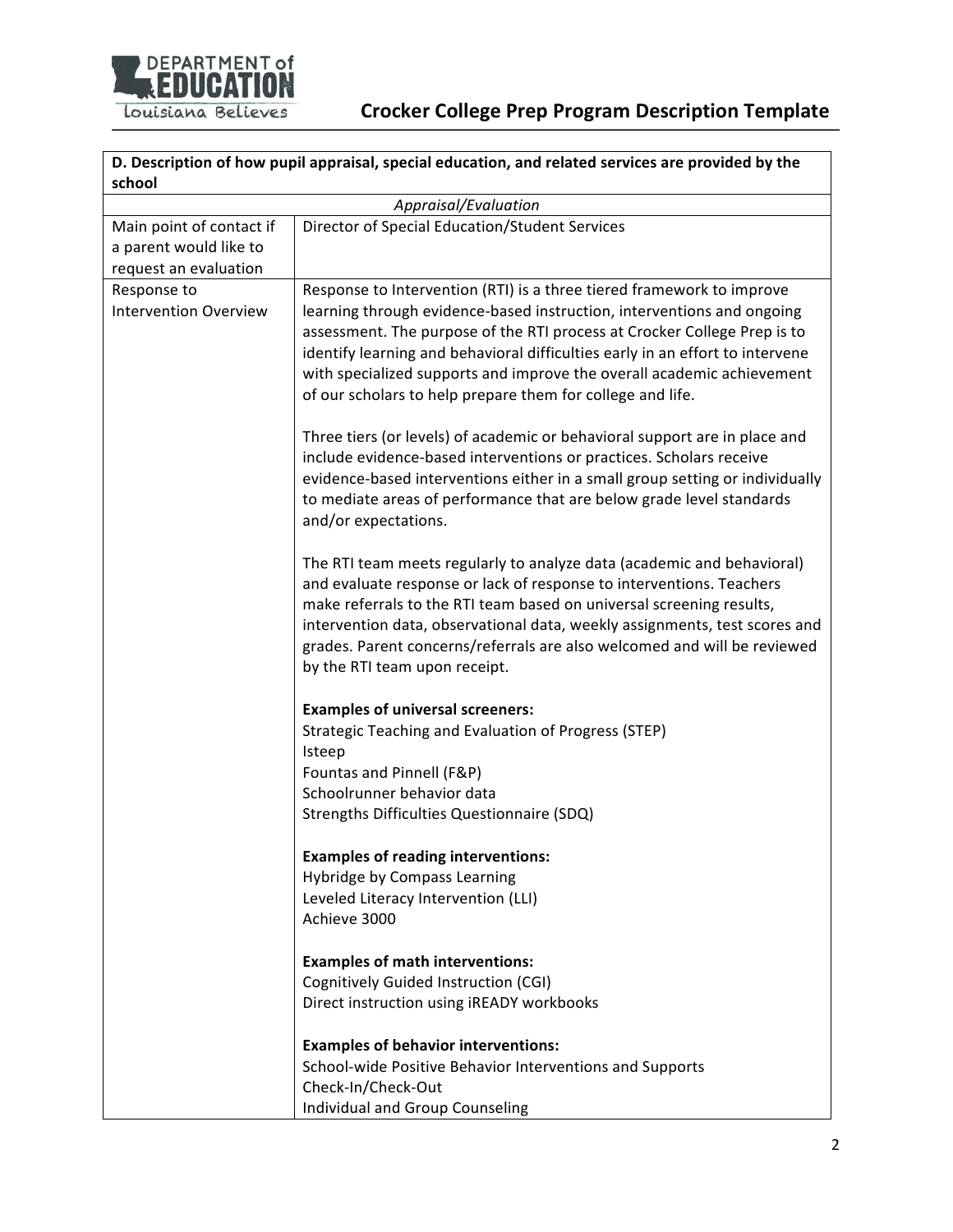

## **Crocker College Prep Program Description Template**

| D. Description of how pupil appraisal, special education, and related services are provided by the<br>school |                                                                                                                                                                                                                                                                                                                                                                                                                                                      |  |
|--------------------------------------------------------------------------------------------------------------|------------------------------------------------------------------------------------------------------------------------------------------------------------------------------------------------------------------------------------------------------------------------------------------------------------------------------------------------------------------------------------------------------------------------------------------------------|--|
| Appraisal/Evaluation                                                                                         |                                                                                                                                                                                                                                                                                                                                                                                                                                                      |  |
| Main point of contact if<br>a parent would like to<br>request an evaluation                                  | Director of Special Education/Student Services                                                                                                                                                                                                                                                                                                                                                                                                       |  |
| Response to<br><b>Intervention Overview</b>                                                                  | Response to Intervention (RTI) is a three tiered framework to improve<br>learning through evidence-based instruction, interventions and ongoing<br>assessment. The purpose of the RTI process at Crocker College Prep is to<br>identify learning and behavioral difficulties early in an effort to intervene<br>with specialized supports and improve the overall academic achievement<br>of our scholars to help prepare them for college and life. |  |
|                                                                                                              | Three tiers (or levels) of academic or behavioral support are in place and<br>include evidence-based interventions or practices. Scholars receive<br>evidence-based interventions either in a small group setting or individually<br>to mediate areas of performance that are below grade level standards<br>and/or expectations.                                                                                                                    |  |
|                                                                                                              | The RTI team meets regularly to analyze data (academic and behavioral)<br>and evaluate response or lack of response to interventions. Teachers<br>make referrals to the RTI team based on universal screening results,<br>intervention data, observational data, weekly assignments, test scores and<br>grades. Parent concerns/referrals are also welcomed and will be reviewed<br>by the RTI team upon receipt.                                    |  |
|                                                                                                              | <b>Examples of universal screeners:</b><br>Strategic Teaching and Evaluation of Progress (STEP)<br>Isteep<br>Fountas and Pinnell (F&P)<br>Schoolrunner behavior data<br>Strengths Difficulties Questionnaire (SDQ)                                                                                                                                                                                                                                   |  |
|                                                                                                              | <b>Examples of reading interventions:</b><br>Hybridge by Compass Learning<br>Leveled Literacy Intervention (LLI)<br>Achieve 3000                                                                                                                                                                                                                                                                                                                     |  |
|                                                                                                              | <b>Examples of math interventions:</b><br>Cognitively Guided Instruction (CGI)<br>Direct instruction using iREADY workbooks                                                                                                                                                                                                                                                                                                                          |  |
|                                                                                                              | <b>Examples of behavior interventions:</b><br>School-wide Positive Behavior Interventions and Supports<br>Check-In/Check-Out<br>Individual and Group Counseling                                                                                                                                                                                                                                                                                      |  |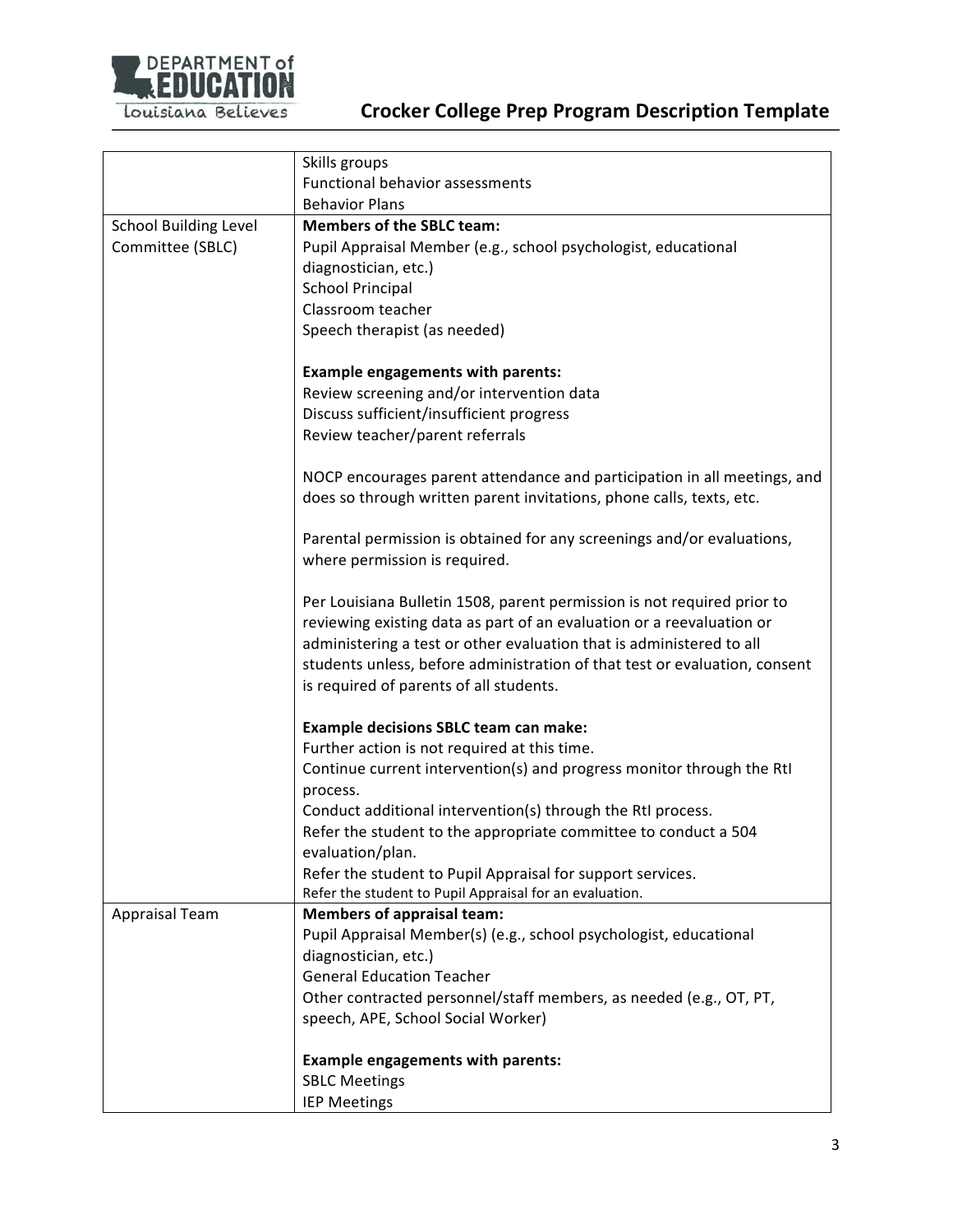

## **Crocker College Prep Program Description Template**

|                              | Skills groups                                                                                                         |  |  |
|------------------------------|-----------------------------------------------------------------------------------------------------------------------|--|--|
|                              | Functional behavior assessments                                                                                       |  |  |
|                              | <b>Behavior Plans</b>                                                                                                 |  |  |
| <b>School Building Level</b> | <b>Members of the SBLC team:</b>                                                                                      |  |  |
| Committee (SBLC)             | Pupil Appraisal Member (e.g., school psychologist, educational                                                        |  |  |
|                              | diagnostician, etc.)                                                                                                  |  |  |
|                              | <b>School Principal</b>                                                                                               |  |  |
|                              | Classroom teacher                                                                                                     |  |  |
|                              | Speech therapist (as needed)                                                                                          |  |  |
|                              |                                                                                                                       |  |  |
|                              | <b>Example engagements with parents:</b>                                                                              |  |  |
|                              | Review screening and/or intervention data                                                                             |  |  |
|                              | Discuss sufficient/insufficient progress                                                                              |  |  |
|                              |                                                                                                                       |  |  |
|                              | Review teacher/parent referrals                                                                                       |  |  |
|                              | NOCP encourages parent attendance and participation in all meetings, and                                              |  |  |
|                              | does so through written parent invitations, phone calls, texts, etc.                                                  |  |  |
|                              |                                                                                                                       |  |  |
|                              | Parental permission is obtained for any screenings and/or evaluations,                                                |  |  |
|                              | where permission is required.                                                                                         |  |  |
|                              |                                                                                                                       |  |  |
|                              | Per Louisiana Bulletin 1508, parent permission is not required prior to                                               |  |  |
|                              | reviewing existing data as part of an evaluation or a reevaluation or                                                 |  |  |
|                              | administering a test or other evaluation that is administered to all                                                  |  |  |
|                              | students unless, before administration of that test or evaluation, consent                                            |  |  |
|                              | is required of parents of all students.                                                                               |  |  |
|                              |                                                                                                                       |  |  |
|                              | <b>Example decisions SBLC team can make:</b>                                                                          |  |  |
|                              | Further action is not required at this time.                                                                          |  |  |
|                              | Continue current intervention(s) and progress monitor through the RtI                                                 |  |  |
|                              | process.                                                                                                              |  |  |
|                              | Conduct additional intervention(s) through the RtI process.                                                           |  |  |
|                              | Refer the student to the appropriate committee to conduct a 504                                                       |  |  |
|                              | evaluation/plan.                                                                                                      |  |  |
|                              |                                                                                                                       |  |  |
|                              | Refer the student to Pupil Appraisal for support services.<br>Refer the student to Pupil Appraisal for an evaluation. |  |  |
| Appraisal Team               | <b>Members of appraisal team:</b>                                                                                     |  |  |
|                              | Pupil Appraisal Member(s) (e.g., school psychologist, educational                                                     |  |  |
|                              | diagnostician, etc.)                                                                                                  |  |  |
|                              | <b>General Education Teacher</b>                                                                                      |  |  |
|                              |                                                                                                                       |  |  |
|                              | Other contracted personnel/staff members, as needed (e.g., OT, PT,                                                    |  |  |
|                              | speech, APE, School Social Worker)                                                                                    |  |  |
|                              |                                                                                                                       |  |  |
|                              | <b>Example engagements with parents:</b>                                                                              |  |  |
|                              | <b>SBLC Meetings</b>                                                                                                  |  |  |
|                              | <b>IEP Meetings</b>                                                                                                   |  |  |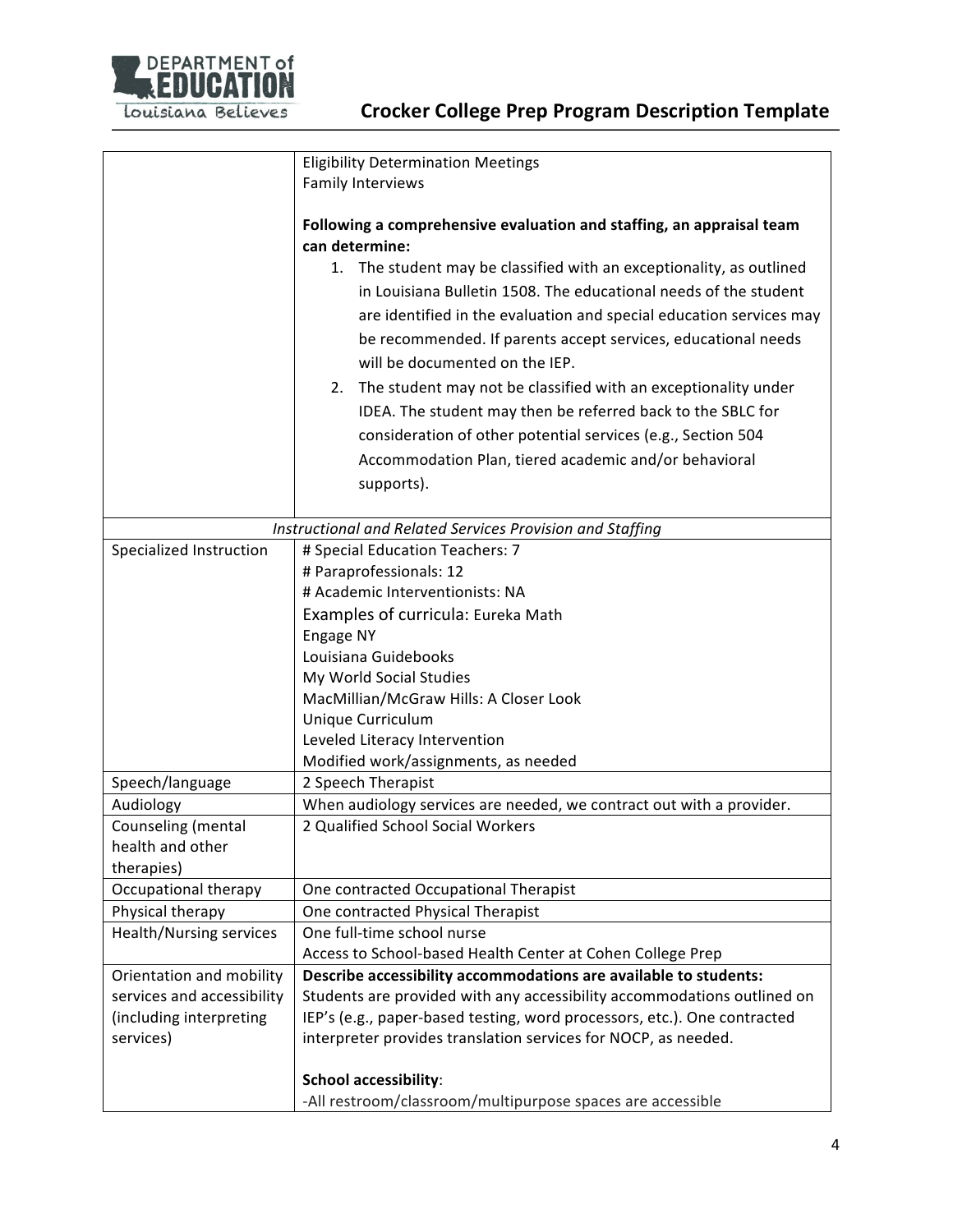

|                                 | <b>Eligibility Determination Meetings</b>                                              |  |  |
|---------------------------------|----------------------------------------------------------------------------------------|--|--|
|                                 | Family Interviews                                                                      |  |  |
|                                 |                                                                                        |  |  |
|                                 | Following a comprehensive evaluation and staffing, an appraisal team<br>can determine: |  |  |
|                                 | 1. The student may be classified with an exceptionality, as outlined                   |  |  |
|                                 | in Louisiana Bulletin 1508. The educational needs of the student                       |  |  |
|                                 | are identified in the evaluation and special education services may                    |  |  |
|                                 |                                                                                        |  |  |
|                                 | be recommended. If parents accept services, educational needs                          |  |  |
|                                 | will be documented on the IEP.                                                         |  |  |
|                                 | The student may not be classified with an exceptionality under<br>2.                   |  |  |
|                                 | IDEA. The student may then be referred back to the SBLC for                            |  |  |
|                                 | consideration of other potential services (e.g., Section 504                           |  |  |
|                                 | Accommodation Plan, tiered academic and/or behavioral                                  |  |  |
|                                 | supports).                                                                             |  |  |
|                                 |                                                                                        |  |  |
|                                 | Instructional and Related Services Provision and Staffing                              |  |  |
| Specialized Instruction         | # Special Education Teachers: 7                                                        |  |  |
|                                 | # Paraprofessionals: 12                                                                |  |  |
| # Academic Interventionists: NA |                                                                                        |  |  |
|                                 | Examples of curricula: Eureka Math                                                     |  |  |
|                                 | Engage NY                                                                              |  |  |
|                                 | Louisiana Guidebooks                                                                   |  |  |
|                                 | My World Social Studies                                                                |  |  |
|                                 | MacMillian/McGraw Hills: A Closer Look                                                 |  |  |
|                                 | Unique Curriculum                                                                      |  |  |
|                                 | Leveled Literacy Intervention                                                          |  |  |
|                                 | Modified work/assignments, as needed                                                   |  |  |
| Speech/language                 | 2 Speech Therapist                                                                     |  |  |
| Audiology                       | When audiology services are needed, we contract out with a provider.                   |  |  |
| Counseling (mental              | 2 Qualified School Social Workers                                                      |  |  |
| health and other                |                                                                                        |  |  |
| therapies)                      |                                                                                        |  |  |
| Occupational therapy            | One contracted Occupational Therapist                                                  |  |  |
| Physical therapy                | One contracted Physical Therapist                                                      |  |  |
| <b>Health/Nursing services</b>  | One full-time school nurse                                                             |  |  |
|                                 | Access to School-based Health Center at Cohen College Prep                             |  |  |
| Orientation and mobility        | Describe accessibility accommodations are available to students:                       |  |  |
| services and accessibility      | Students are provided with any accessibility accommodations outlined on                |  |  |
| (including interpreting         | IEP's (e.g., paper-based testing, word processors, etc.). One contracted               |  |  |
| services)                       | interpreter provides translation services for NOCP, as needed.                         |  |  |
|                                 |                                                                                        |  |  |
|                                 | <b>School accessibility:</b>                                                           |  |  |
|                                 | -All restroom/classroom/multipurpose spaces are accessible                             |  |  |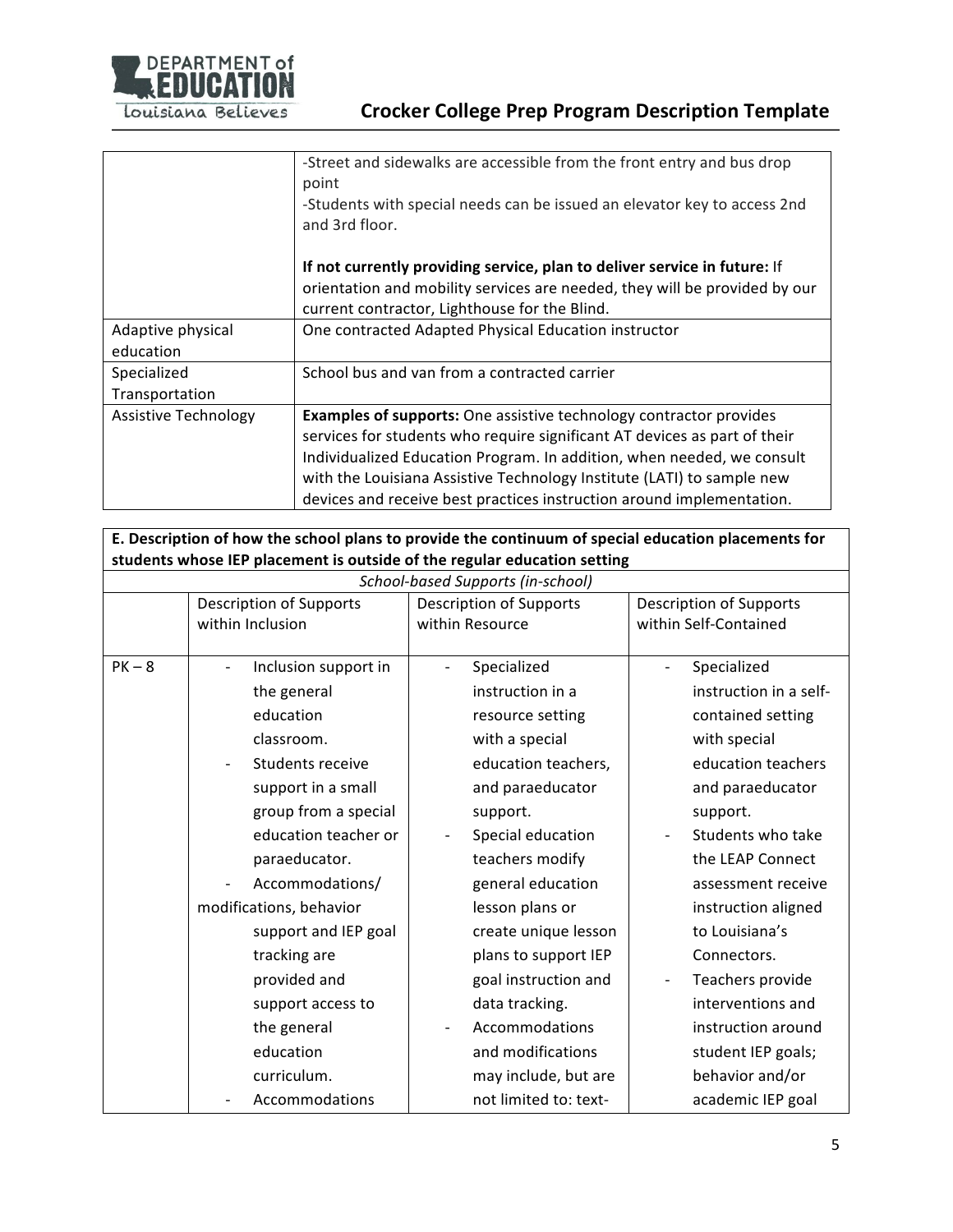

|                                | -Street and sidewalks are accessible from the front entry and bus drop<br>point<br>-Students with special needs can be issued an elevator key to access 2nd<br>and 3rd floor.                                                                                                                                                                                                       |
|--------------------------------|-------------------------------------------------------------------------------------------------------------------------------------------------------------------------------------------------------------------------------------------------------------------------------------------------------------------------------------------------------------------------------------|
|                                | If not currently providing service, plan to deliver service in future: If<br>orientation and mobility services are needed, they will be provided by our<br>current contractor, Lighthouse for the Blind.                                                                                                                                                                            |
| Adaptive physical<br>education | One contracted Adapted Physical Education instructor                                                                                                                                                                                                                                                                                                                                |
| Specialized<br>Transportation  | School bus and van from a contracted carrier                                                                                                                                                                                                                                                                                                                                        |
| Assistive Technology           | <b>Examples of supports:</b> One assistive technology contractor provides<br>services for students who require significant AT devices as part of their<br>Individualized Education Program. In addition, when needed, we consult<br>with the Louisiana Assistive Technology Institute (LATI) to sample new<br>devices and receive best practices instruction around implementation. |

E. Description of how the school plans to provide the continuum of special education placements for students whose IEP placement is outside of the regular education setting

| School-based Supports (in-school) |                                              |                                         |                                |  |
|-----------------------------------|----------------------------------------------|-----------------------------------------|--------------------------------|--|
|                                   | Description of Supports                      | <b>Description of Supports</b>          | <b>Description of Supports</b> |  |
|                                   | within Inclusion                             | within Resource                         | within Self-Contained          |  |
| $PK - 8$                          | Inclusion support in<br>$\overline{a}$       | Specialized<br>$\overline{\phantom{0}}$ | Specialized                    |  |
|                                   | the general                                  | instruction in a                        | instruction in a self-         |  |
|                                   |                                              |                                         |                                |  |
|                                   | education                                    | resource setting                        | contained setting              |  |
|                                   | classroom.                                   | with a special                          | with special                   |  |
|                                   | Students receive<br>$\overline{\phantom{a}}$ | education teachers,                     | education teachers             |  |
|                                   | support in a small                           | and paraeducator                        | and paraeducator               |  |
|                                   | group from a special                         | support.                                | support.                       |  |
|                                   | education teacher or                         | Special education<br>$\overline{a}$     | Students who take              |  |
|                                   | paraeducator.                                | teachers modify                         | the LEAP Connect               |  |
|                                   | Accommodations/                              | general education                       | assessment receive             |  |
|                                   | modifications, behavior                      | lesson plans or                         | instruction aligned            |  |
|                                   | support and IEP goal                         | create unique lesson                    | to Louisiana's                 |  |
|                                   | tracking are                                 | plans to support IEP                    | Connectors.                    |  |
|                                   | provided and                                 | goal instruction and                    | Teachers provide               |  |
|                                   | support access to                            | data tracking.                          | interventions and              |  |
|                                   | the general                                  | Accommodations<br>-                     | instruction around             |  |
|                                   | education                                    | and modifications                       | student IEP goals;             |  |
|                                   | curriculum.                                  | may include, but are                    | behavior and/or                |  |
|                                   | Accommodations                               | not limited to: text-                   | academic IEP goal              |  |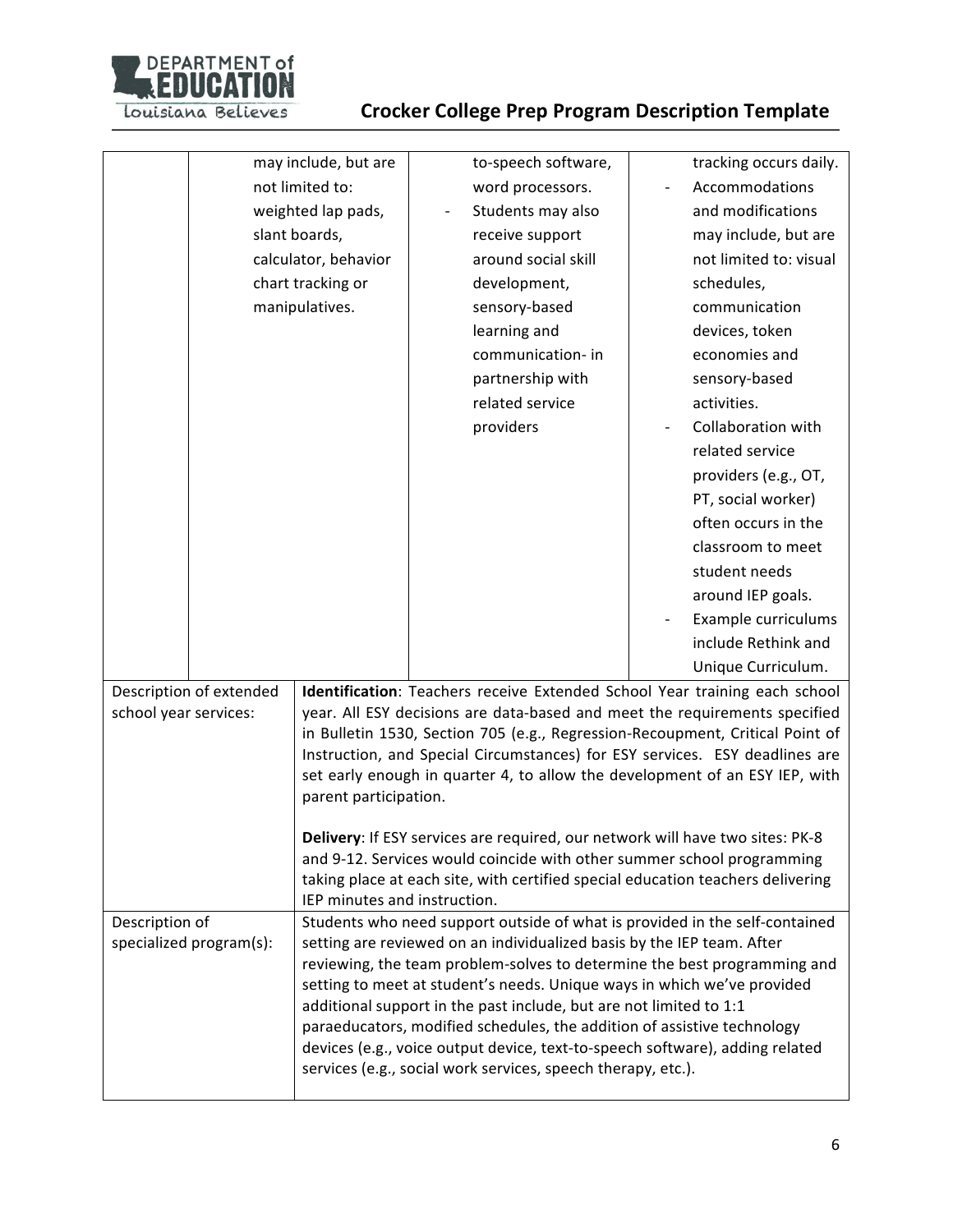

|                       |                         | may include, but are         | to-speech software,                                                                                                                                      | tracking occurs daily. |
|-----------------------|-------------------------|------------------------------|----------------------------------------------------------------------------------------------------------------------------------------------------------|------------------------|
|                       | not limited to:         |                              | word processors.                                                                                                                                         | Accommodations         |
|                       | weighted lap pads,      |                              | Students may also                                                                                                                                        | and modifications      |
|                       | slant boards,           |                              | receive support                                                                                                                                          | may include, but are   |
|                       | calculator, behavior    |                              | around social skill                                                                                                                                      | not limited to: visual |
|                       |                         | chart tracking or            | development,                                                                                                                                             | schedules,             |
|                       |                         | manipulatives.               | sensory-based                                                                                                                                            | communication          |
|                       |                         |                              | learning and                                                                                                                                             | devices, token         |
|                       |                         |                              | communication- in                                                                                                                                        | economies and          |
|                       |                         |                              | partnership with                                                                                                                                         | sensory-based          |
|                       |                         |                              | related service                                                                                                                                          | activities.            |
|                       |                         |                              | providers                                                                                                                                                | Collaboration with     |
|                       |                         |                              |                                                                                                                                                          | related service        |
|                       |                         |                              |                                                                                                                                                          | providers (e.g., OT,   |
|                       |                         |                              |                                                                                                                                                          | PT, social worker)     |
|                       |                         |                              |                                                                                                                                                          | often occurs in the    |
|                       |                         |                              |                                                                                                                                                          | classroom to meet      |
|                       |                         |                              |                                                                                                                                                          | student needs          |
|                       |                         |                              |                                                                                                                                                          | around IEP goals.      |
|                       |                         |                              |                                                                                                                                                          | Example curriculums    |
|                       |                         |                              |                                                                                                                                                          | include Rethink and    |
|                       |                         |                              |                                                                                                                                                          |                        |
|                       |                         |                              |                                                                                                                                                          | Unique Curriculum.     |
| school year services: | Description of extended |                              | Identification: Teachers receive Extended School Year training each school<br>year. All ESY decisions are data-based and meet the requirements specified |                        |
|                       |                         |                              | in Bulletin 1530, Section 705 (e.g., Regression-Recoupment, Critical Point of                                                                            |                        |
|                       |                         |                              | Instruction, and Special Circumstances) for ESY services. ESY deadlines are                                                                              |                        |
|                       |                         |                              | set early enough in quarter 4, to allow the development of an ESY IEP, with                                                                              |                        |
|                       |                         | parent participation.        |                                                                                                                                                          |                        |
|                       |                         |                              |                                                                                                                                                          |                        |
|                       |                         |                              | Delivery: If ESY services are required, our network will have two sites: PK-8                                                                            |                        |
|                       |                         |                              | and 9-12. Services would coincide with other summer school programming                                                                                   |                        |
|                       |                         |                              | taking place at each site, with certified special education teachers delivering                                                                          |                        |
| Description of        |                         | IEP minutes and instruction. | Students who need support outside of what is provided in the self-contained                                                                              |                        |
|                       | specialized program(s): |                              | setting are reviewed on an individualized basis by the IEP team. After                                                                                   |                        |
|                       |                         |                              | reviewing, the team problem-solves to determine the best programming and                                                                                 |                        |
|                       |                         |                              | setting to meet at student's needs. Unique ways in which we've provided                                                                                  |                        |
|                       |                         |                              | additional support in the past include, but are not limited to 1:1                                                                                       |                        |
|                       |                         |                              | paraeducators, modified schedules, the addition of assistive technology                                                                                  |                        |
|                       |                         |                              | devices (e.g., voice output device, text-to-speech software), adding related                                                                             |                        |
|                       |                         |                              | services (e.g., social work services, speech therapy, etc.).                                                                                             |                        |
|                       |                         |                              |                                                                                                                                                          |                        |